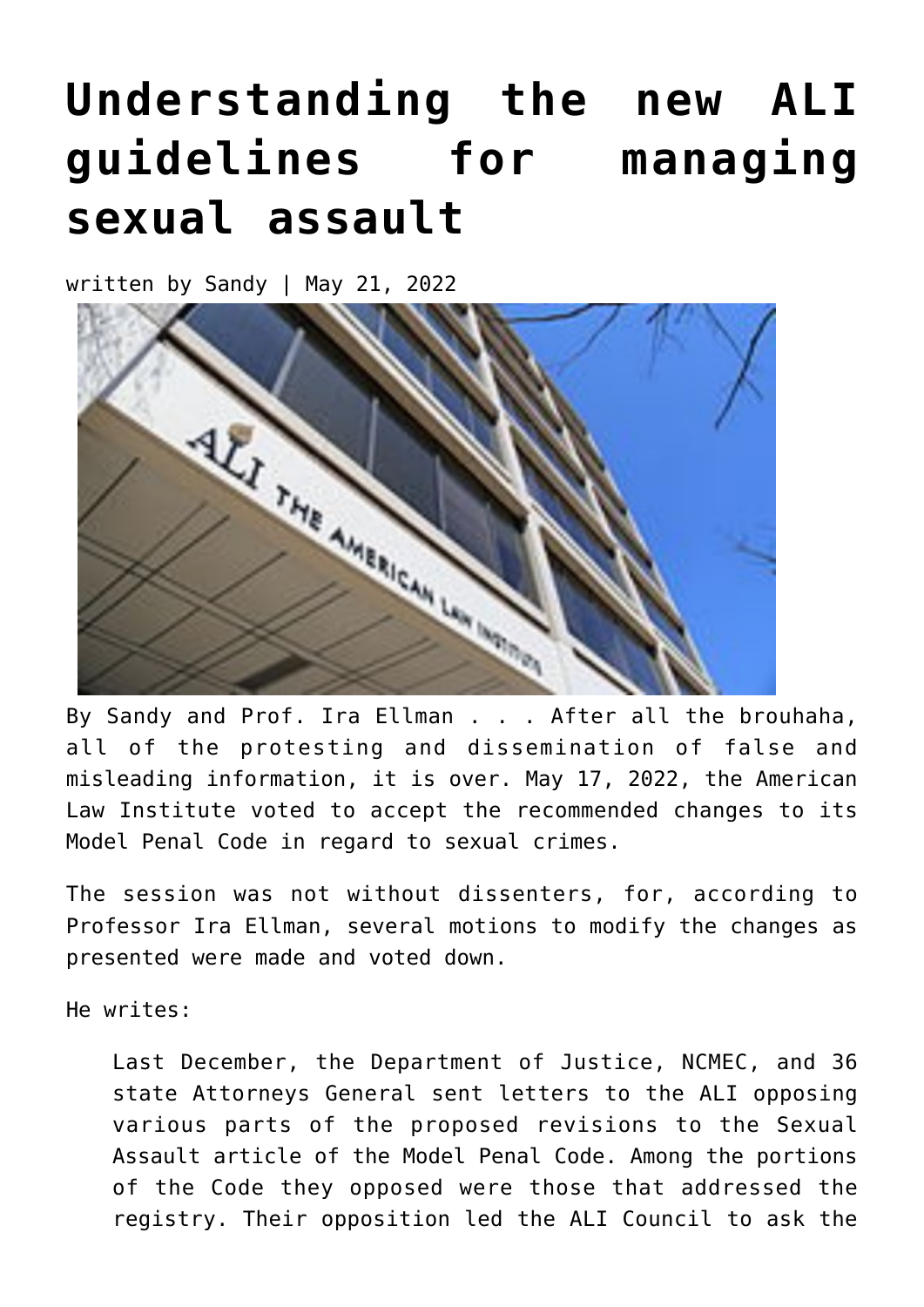## **[Understanding the new ALI](https://narsol.org/2022/05/understanding-the-new-ali-guidelines-for-managing-sexual-assault/) [guidelines for managing](https://narsol.org/2022/05/understanding-the-new-ali-guidelines-for-managing-sexual-assault/) [sexual assault](https://narsol.org/2022/05/understanding-the-new-ali-guidelines-for-managing-sexual-assault/)**

written by Sandy | May 21, 2022



By Sandy and Prof. Ira Ellman . . . After all the brouhaha, all of the protesting and dissemination of false and misleading information, it is over. May 17, 2022, the American Law Institute voted to accept the recommended changes to its Model Penal Code in regard to sexual crimes.

The session was not without dissenters, for, according to Professor Ira Ellman, several motions to modify the changes as presented were made and voted down.

He writes:

Last December, the Department of Justice, NCMEC, and 36 state Attorneys General sent letters to the ALI opposing various parts of the proposed revisions to the Sexual Assault article of the Model Penal Code. Among the portions of the Code they opposed were those that addressed the registry. Their opposition led the ALI Council to ask the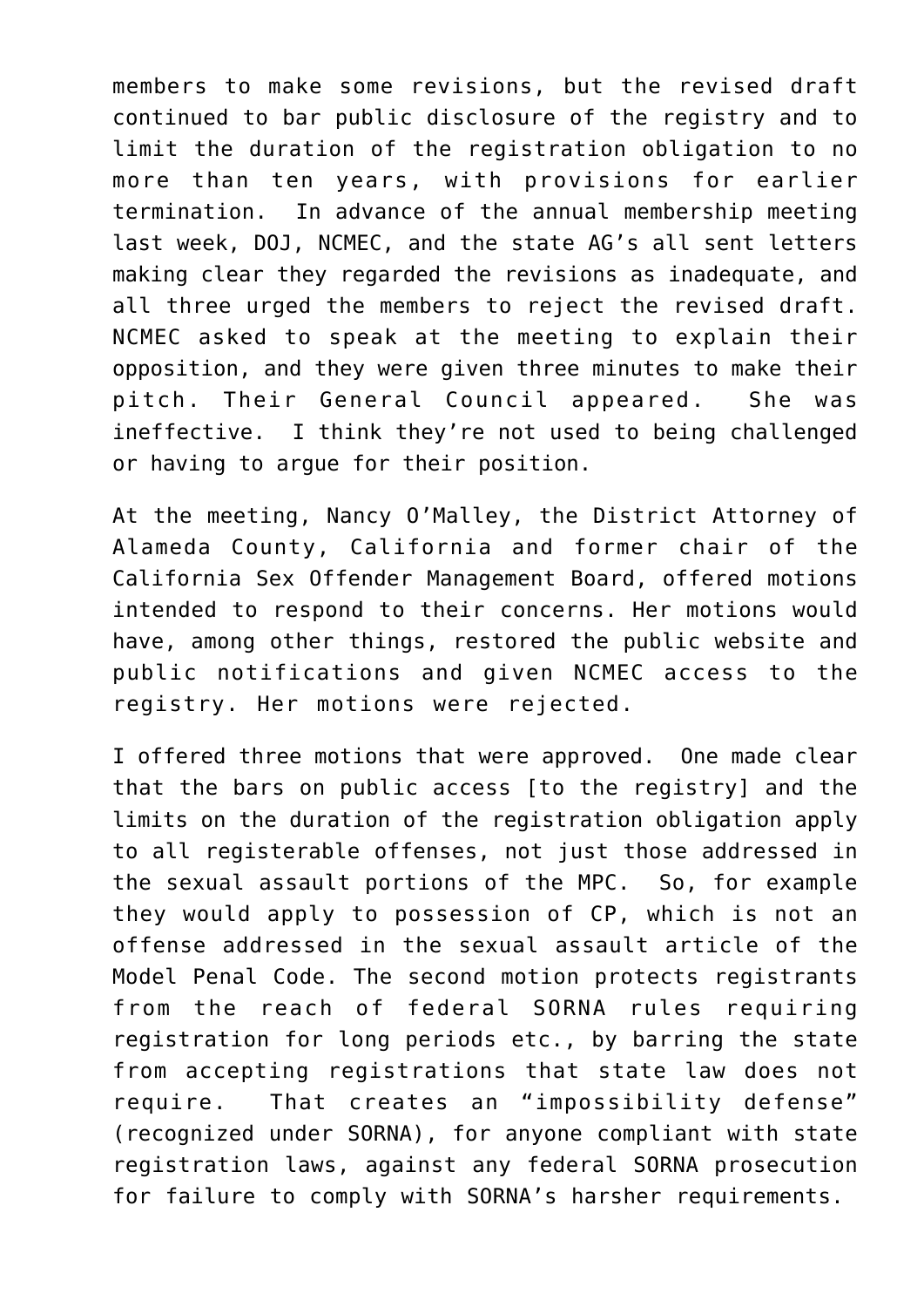members to make some revisions, but the revised draft continued to bar public disclosure of the registry and to limit the duration of the registration obligation to no more than ten years, with provisions for earlier termination. In advance of the annual membership meeting last week, DOJ, NCMEC, and the state AG's all sent letters making clear they regarded the revisions as inadequate, and all three urged the members to reject the revised draft. NCMEC asked to speak at the meeting to explain their opposition, and they were given three minutes to make their pitch. Their General Council appeared. She was ineffective. I think they're not used to being challenged or having to argue for their position.

At the meeting, Nancy O'Malley, the District Attorney of Alameda County, California and former chair of the California Sex Offender Management Board, offered motions intended to respond to their concerns. Her motions would have, among other things, restored the public website and public notifications and given NCMEC access to the registry. Her motions were rejected.

I offered three motions that were approved. One made clear that the bars on public access [to the registry] and the limits on the duration of the registration obligation apply to all registerable offenses, not just those addressed in the sexual assault portions of the MPC. So, for example they would apply to possession of CP, which is not an offense addressed in the sexual assault article of the Model Penal Code. The second motion protects registrants from the reach of federal SORNA rules requiring registration for long periods etc., by barring the state from accepting registrations that state law does not require. That creates an "impossibility defense" (recognized under SORNA), for anyone compliant with state registration laws, against any federal SORNA prosecution for failure to comply with SORNA's harsher requirements.